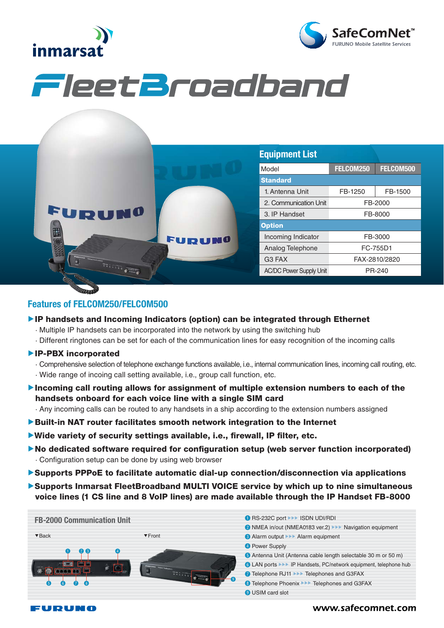



# FleetBroadband

|        |               | <b>Equipment List</b>          |               |           |
|--------|---------------|--------------------------------|---------------|-----------|
|        |               | Model                          | FELCOM250     | FELCOM500 |
| FURUNO | <b>FURUNO</b> | <b>Standard</b>                |               |           |
|        |               | 1. Antenna Unit                | FB-1250       | FB-1500   |
|        |               | 2. Communication Unit          | FB-2000       |           |
|        |               | 3. IP Handset                  | FB-8000       |           |
|        |               | <b>Option</b>                  |               |           |
|        |               | Incoming Indicator             | FB-3000       |           |
|        |               | Analog Telephone               | FC-755D1      |           |
|        |               | G3 FAX                         | FAX-2810/2820 |           |
|        |               | <b>AC/DC Power Supply Unit</b> |               | PR-240    |
|        |               |                                |               |           |

### Features of FELCOM250/FELCOM500

- ▶IP handsets and Incoming Indicators (option) can be integrated through Ethernet
	- · Multiple IP handsets can be incorporated into the network by using the switching hub
	- · Different ringtones can be set for each of the communication lines for easy recognition of the incoming calls
- ▲IP-PBX incorporated
	- · Comprehensive selection of telephone exchange functions available, i.e., internal communication lines, incoming call routing, etc.
	- · Wide range of incoing call setting available, i.e., group call function, etc.
- ▲Incoming call routing allows for assignment of multiple extension numbers to each of the handsets onboard for each voice line with a single SIM card

· Any incoming calls can be routed to any handsets in a ship according to the extension numbers assigned

- ▶Built-in NAT router facilitates smooth network integration to the Internet
- ▶Wide variety of security settings available, i.e., firewall, IP filter, etc.
- ▶No dedicated software required for configuration setup (web server function incorporated) · Configuration setup can be done by using web browser
- ▲Supports PPPoE to facilitate automatic dial-up connection/disconnection via applications
- ▶ Supports Inmarsat FleetBroadband MULTI VOICE service by which up to nine simultaneous voice lines (1 CS line and 8 VoIP lines) are made available through the IP Handset FB-8000



#### FUDUNA

# www.safecomnet.com